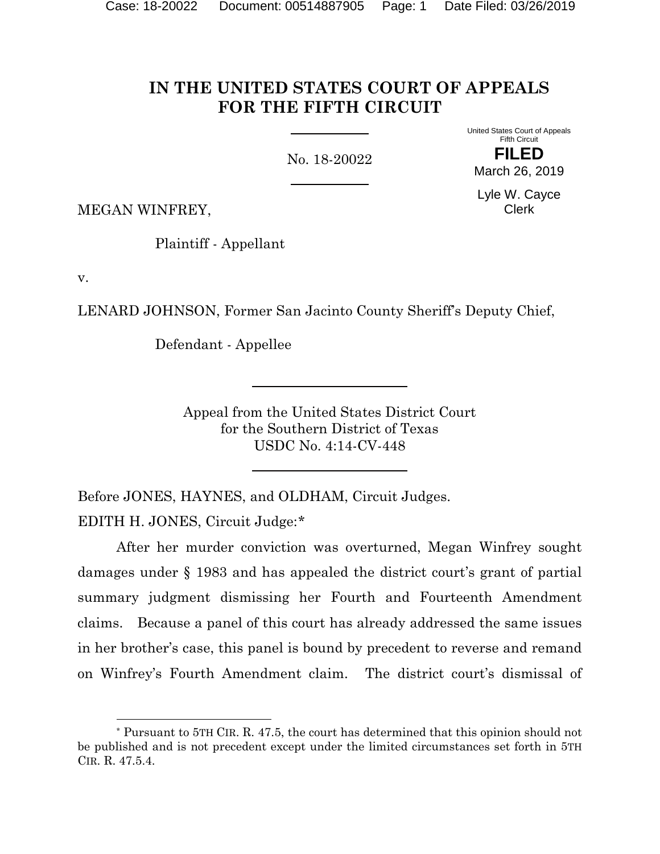# **IN THE UNITED STATES COURT OF APPEALS FOR THE FIFTH CIRCUIT**

No. 18-20022

Fifth Circuit **FILED** March 26, 2019

Lyle W. Cayce Clerk

United States Court of Appeals

MEGAN WINFREY,

Plaintiff - Appellant

v.

LENARD JOHNSON, Former San Jacinto County Sheriff's Deputy Chief,

Defendant - Appellee

Appeal from the United States District Court for the Southern District of Texas USDC No. 4:14-CV-448

Before JONES, HAYNES, and OLDHAM, Circuit Judges.

EDITH H. JONES, Circuit Judge:[\\*](#page-0-0)

 $\overline{a}$ 

After her murder conviction was overturned, Megan Winfrey sought damages under § 1983 and has appealed the district court's grant of partial summary judgment dismissing her Fourth and Fourteenth Amendment claims. Because a panel of this court has already addressed the same issues in her brother's case, this panel is bound by precedent to reverse and remand on Winfrey's Fourth Amendment claim. The district court's dismissal of

<span id="page-0-0"></span><sup>\*</sup> Pursuant to 5TH CIR. R. 47.5, the court has determined that this opinion should not be published and is not precedent except under the limited circumstances set forth in 5TH CIR. R. 47.5.4.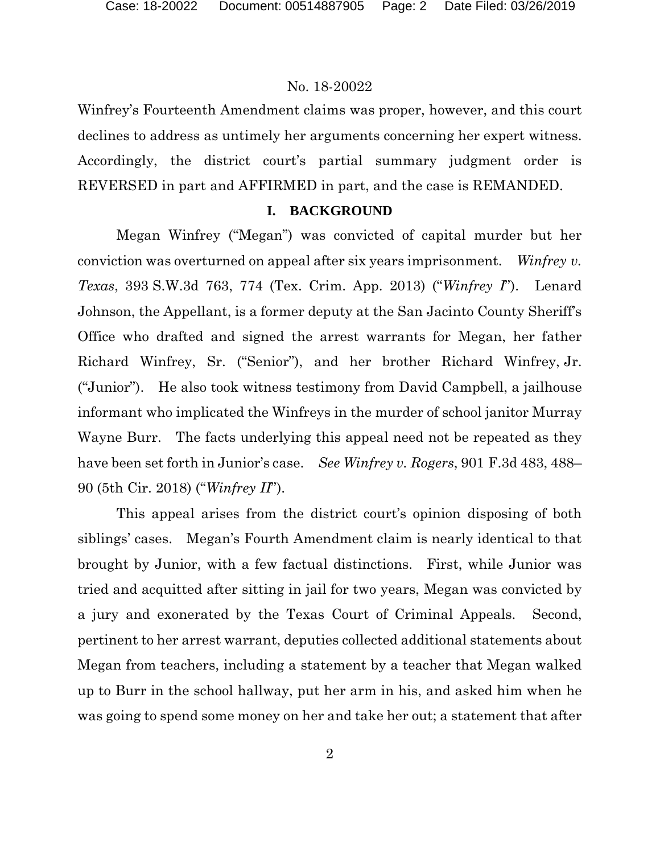Winfrey's Fourteenth Amendment claims was proper, however, and this court declines to address as untimely her arguments concerning her expert witness. Accordingly, the district court's partial summary judgment order is REVERSED in part and AFFIRMED in part, and the case is REMANDED.

# **I. BACKGROUND**

Megan Winfrey ("Megan") was convicted of capital murder but her conviction was overturned on appeal after six years imprisonment. *Winfrey v. Texas*, 393 S.W.3d 763, 774 (Tex. Crim. App. 2013) ("*Winfrey I*"). Lenard Johnson, the Appellant, is a former deputy at the San Jacinto County Sheriff's Office who drafted and signed the arrest warrants for Megan, her father Richard Winfrey, Sr. ("Senior"), and her brother Richard Winfrey, Jr. ("Junior"). He also took witness testimony from David Campbell, a jailhouse informant who implicated the Winfreys in the murder of school janitor Murray Wayne Burr. The facts underlying this appeal need not be repeated as they have been set forth in Junior's case. *See Winfrey v. Rogers*, 901 F.3d 483, 488– 90 (5th Cir. 2018) ("*Winfrey II*").

This appeal arises from the district court's opinion disposing of both siblings' cases. Megan's Fourth Amendment claim is nearly identical to that brought by Junior, with a few factual distinctions. First, while Junior was tried and acquitted after sitting in jail for two years, Megan was convicted by a jury and exonerated by the Texas Court of Criminal Appeals. Second, pertinent to her arrest warrant, deputies collected additional statements about Megan from teachers, including a statement by a teacher that Megan walked up to Burr in the school hallway, put her arm in his, and asked him when he was going to spend some money on her and take her out; a statement that after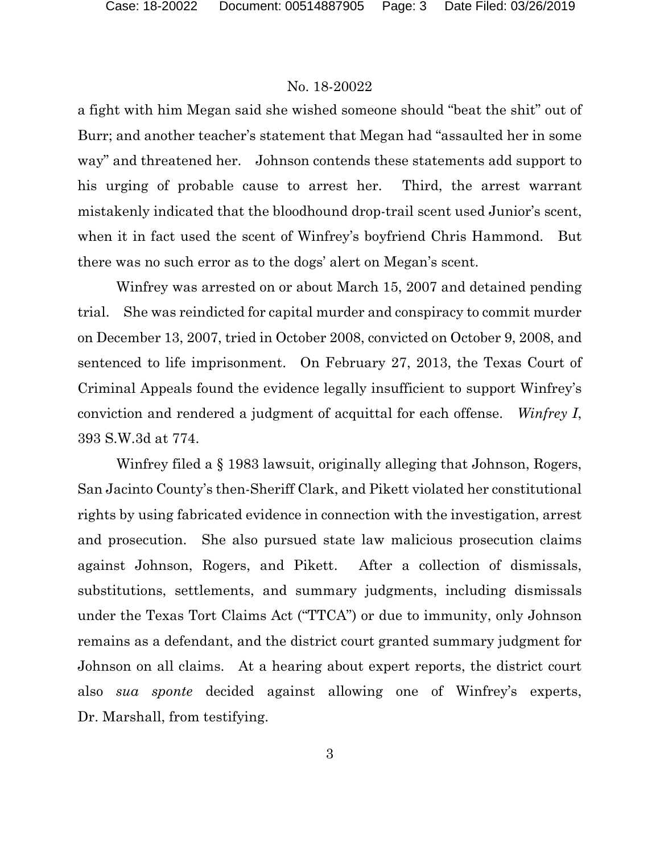a fight with him Megan said she wished someone should "beat the shit" out of Burr; and another teacher's statement that Megan had "assaulted her in some way" and threatened her. Johnson contends these statements add support to his urging of probable cause to arrest her. Third, the arrest warrant mistakenly indicated that the bloodhound drop-trail scent used Junior's scent, when it in fact used the scent of Winfrey's boyfriend Chris Hammond. But there was no such error as to the dogs' alert on Megan's scent.

Winfrey was arrested on or about March 15, 2007 and detained pending trial. She was reindicted for capital murder and conspiracy to commit murder on December 13, 2007, tried in October 2008, convicted on October 9, 2008, and sentenced to life imprisonment. On February 27, 2013, the Texas Court of Criminal Appeals found the evidence legally insufficient to support Winfrey's conviction and rendered a judgment of acquittal for each offense. *Winfrey I*, 393 S.W.3d at 774.

Winfrey filed a § 1983 lawsuit, originally alleging that Johnson, Rogers, San Jacinto County's then-Sheriff Clark, and Pikett violated her constitutional rights by using fabricated evidence in connection with the investigation, arrest and prosecution. She also pursued state law malicious prosecution claims against Johnson, Rogers, and Pikett. After a collection of dismissals, substitutions, settlements, and summary judgments, including dismissals under the Texas Tort Claims Act ("TTCA") or due to immunity, only Johnson remains as a defendant, and the district court granted summary judgment for Johnson on all claims. At a hearing about expert reports, the district court also *sua sponte* decided against allowing one of Winfrey's experts, Dr. Marshall, from testifying.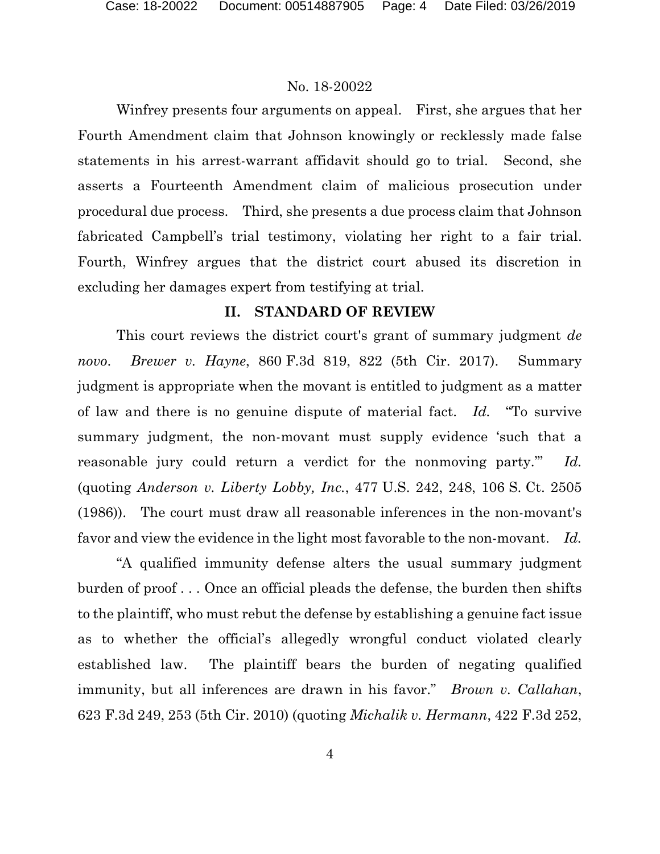Winfrey presents four arguments on appeal. First, she argues that her Fourth Amendment claim that Johnson knowingly or recklessly made false statements in his arrest-warrant affidavit should go to trial. Second, she asserts a Fourteenth Amendment claim of malicious prosecution under procedural due process. Third, she presents a due process claim that Johnson fabricated Campbell's trial testimony, violating her right to a fair trial. Fourth, Winfrey argues that the district court abused its discretion in excluding her damages expert from testifying at trial.

# **II. STANDARD OF REVIEW**

This court reviews the district court's grant of summary judgment *de novo*. *Brewer v. Hayne*, 860 F.3d 819, 822 (5th Cir. 2017). Summary judgment is appropriate when the movant is entitled to judgment as a matter of law and there is no genuine dispute of material fact. *Id.* "To survive summary judgment, the non-movant must supply evidence 'such that a reasonable jury could return a verdict for the nonmoving party.'" *Id.* (quoting *Anderson v. Liberty Lobby, Inc.*, 477 U.S. 242, 248, 106 S. Ct. 2505 (1986)). The court must draw all reasonable inferences in the non-movant's favor and view the evidence in the light most favorable to the non-movant. *Id.*

"A qualified immunity defense alters the usual summary judgment burden of proof . . . Once an official pleads the defense, the burden then shifts to the plaintiff, who must rebut the defense by establishing a genuine fact issue as to whether the official's allegedly wrongful conduct violated clearly established law. The plaintiff bears the burden of negating qualified immunity, but all inferences are drawn in his favor." *Brown v. Callahan*, 623 F.3d 249, 253 (5th Cir. 2010) (quoting *Michalik v. Hermann*, 422 F.3d 252,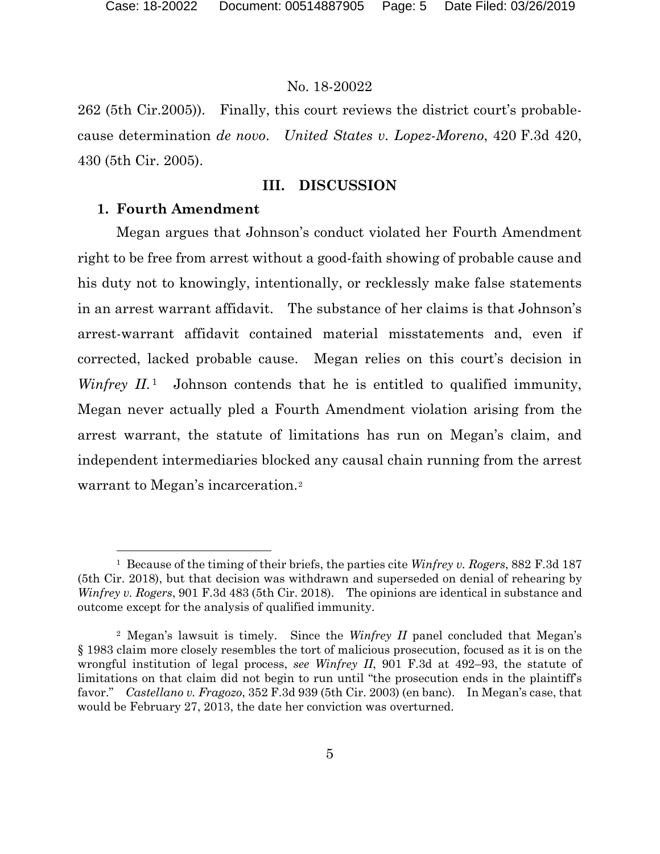262 (5th Cir.2005)). Finally, this court reviews the district court's probablecause determination *de novo*. *United States v. Lopez-Moreno*, 420 F.3d 420, 430 (5th Cir. 2005).

## **III. DISCUSSION**

## **1. Fourth Amendment**

 $\overline{a}$ 

Megan argues that Johnson's conduct violated her Fourth Amendment right to be free from arrest without a good-faith showing of probable cause and his duty not to knowingly, intentionally, or recklessly make false statements in an arrest warrant affidavit. The substance of her claims is that Johnson's arrest-warrant affidavit contained material misstatements and, even if corrected, lacked probable cause. Megan relies on this court's decision in *Winfrey II*.<sup>[1](#page-4-0)</sup> Johnson contends that he is entitled to qualified immunity, Megan never actually pled a Fourth Amendment violation arising from the arrest warrant, the statute of limitations has run on Megan's claim, and independent intermediaries blocked any causal chain running from the arrest warrant to Megan's incarceration.<sup>[2](#page-4-1)</sup>

<span id="page-4-0"></span><sup>1</sup> Because of the timing of their briefs, the parties cite *Winfrey v. Rogers*, 882 F.3d 187 (5th Cir. 2018), but that decision was withdrawn and superseded on denial of rehearing by *Winfrey v. Rogers*, 901 F.3d 483 (5th Cir. 2018). The opinions are identical in substance and outcome except for the analysis of qualified immunity.

<span id="page-4-1"></span><sup>2</sup> Megan's lawsuit is timely. Since the *Winfrey II* panel concluded that Megan's § 1983 claim more closely resembles the tort of malicious prosecution, focused as it is on the wrongful institution of legal process, *see Winfrey II*, 901 F.3d at 492–93, the statute of limitations on that claim did not begin to run until "the prosecution ends in the plaintiff's favor." *Castellano v. Fragozo*, 352 F.3d 939 (5th Cir. 2003) (en banc). In Megan's case, that would be February 27, 2013, the date her conviction was overturned.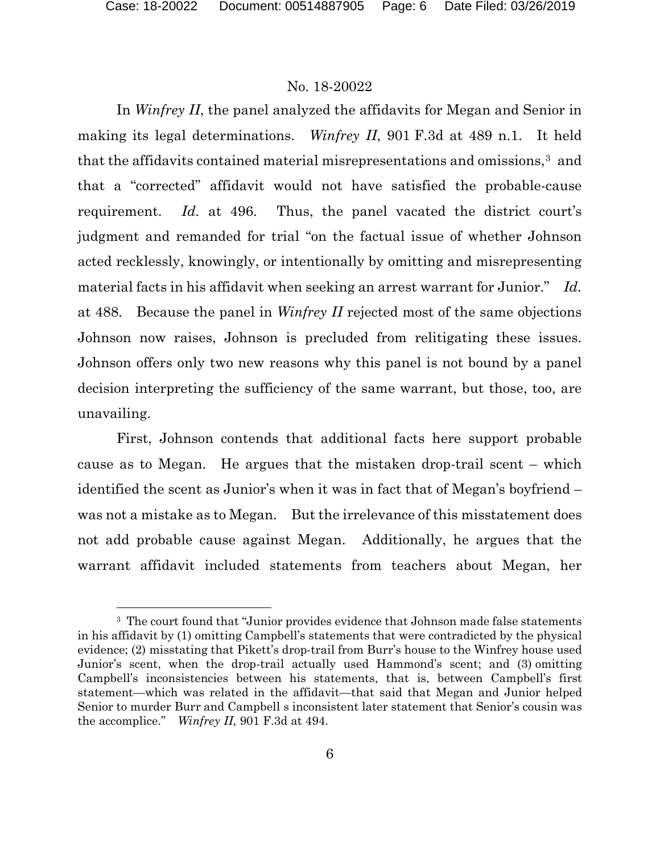$\overline{a}$ 

## No. 18-20022

In *Winfrey II*, the panel analyzed the affidavits for Megan and Senior in making its legal determinations. *Winfrey II*, 901 F.3d at 489 n.1. It held that the affidavits contained material misrepresentations and omissions,[3](#page-5-0) and that a "corrected" affidavit would not have satisfied the probable-cause requirement. *Id.* at 496. Thus, the panel vacated the district court's judgment and remanded for trial "on the factual issue of whether Johnson acted recklessly, knowingly, or intentionally by omitting and misrepresenting material facts in his affidavit when seeking an arrest warrant for Junior." *Id.* at 488. Because the panel in *Winfrey II* rejected most of the same objections Johnson now raises, Johnson is precluded from relitigating these issues. Johnson offers only two new reasons why this panel is not bound by a panel decision interpreting the sufficiency of the same warrant, but those, too, are unavailing.

First, Johnson contends that additional facts here support probable cause as to Megan. He argues that the mistaken drop-trail scent – which identified the scent as Junior's when it was in fact that of Megan's boyfriend – was not a mistake as to Megan. But the irrelevance of this misstatement does not add probable cause against Megan. Additionally, he argues that the warrant affidavit included statements from teachers about Megan, her

<span id="page-5-0"></span><sup>&</sup>lt;sup>3</sup> The court found that "Junior provides evidence that Johnson made false statements in his affidavit by (1) omitting Campbell's statements that were contradicted by the physical evidence; (2) misstating that Pikett's drop-trail from Burr's house to the Winfrey house used Junior's scent, when the drop-trail actually used Hammond's scent; and (3) omitting Campbell's inconsistencies between his statements, that is, between Campbell's first statement—which was related in the affidavit—that said that Megan and Junior helped Senior to murder Burr and Campbell s inconsistent later statement that Senior's cousin was the accomplice." *Winfrey II*, 901 F.3d at 494.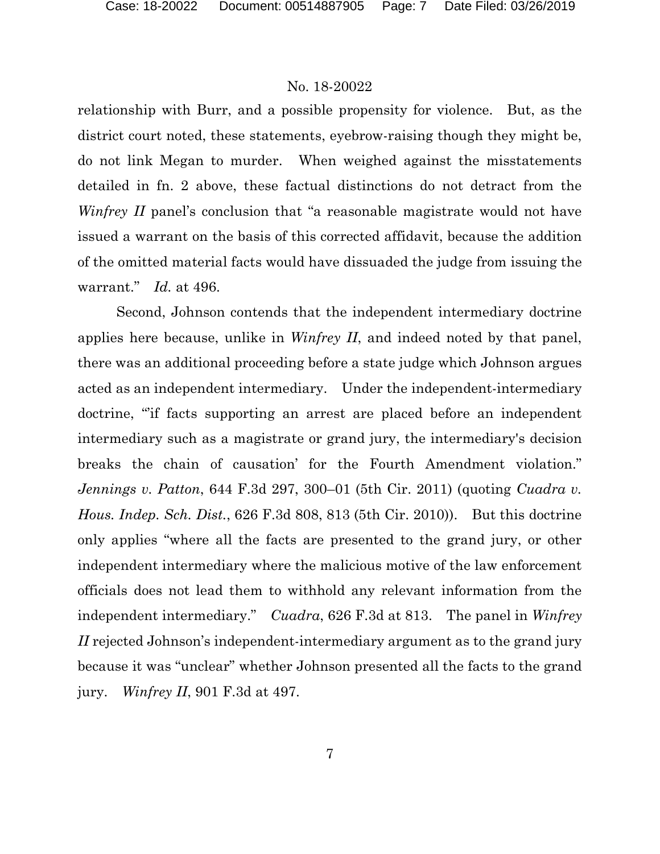relationship with Burr, and a possible propensity for violence. But, as the district court noted, these statements, eyebrow-raising though they might be, do not link Megan to murder. When weighed against the misstatements detailed in fn. 2 above, these factual distinctions do not detract from the *Winfrey II* panel's conclusion that "a reasonable magistrate would not have issued a warrant on the basis of this corrected affidavit, because the addition of the omitted material facts would have dissuaded the judge from issuing the warrant." *Id.* at 496.

Second, Johnson contends that the independent intermediary doctrine applies here because, unlike in *Winfrey II*, and indeed noted by that panel, there was an additional proceeding before a state judge which Johnson argues acted as an independent intermediary. Under the independent-intermediary doctrine, "if facts supporting an arrest are placed before an independent intermediary such as a magistrate or grand jury, the intermediary's decision breaks the chain of causation' for the Fourth Amendment violation." *Jennings v. Patton*, 644 F.3d 297, 300–01 (5th Cir. 2011) (quoting *Cuadra v. Hous. Indep. Sch. Dist.*, 626 F.3d 808, 813 (5th Cir. 2010)). But this doctrine only applies "where all the facts are presented to the grand jury, or other independent intermediary where the malicious motive of the law enforcement officials does not lead them to withhold any relevant information from the independent intermediary." *Cuadra*, 626 F.3d at 813. The panel in *Winfrey II* rejected Johnson's independent-intermediary argument as to the grand jury because it was "unclear" whether Johnson presented all the facts to the grand jury. *Winfrey II*, 901 F.3d at 497.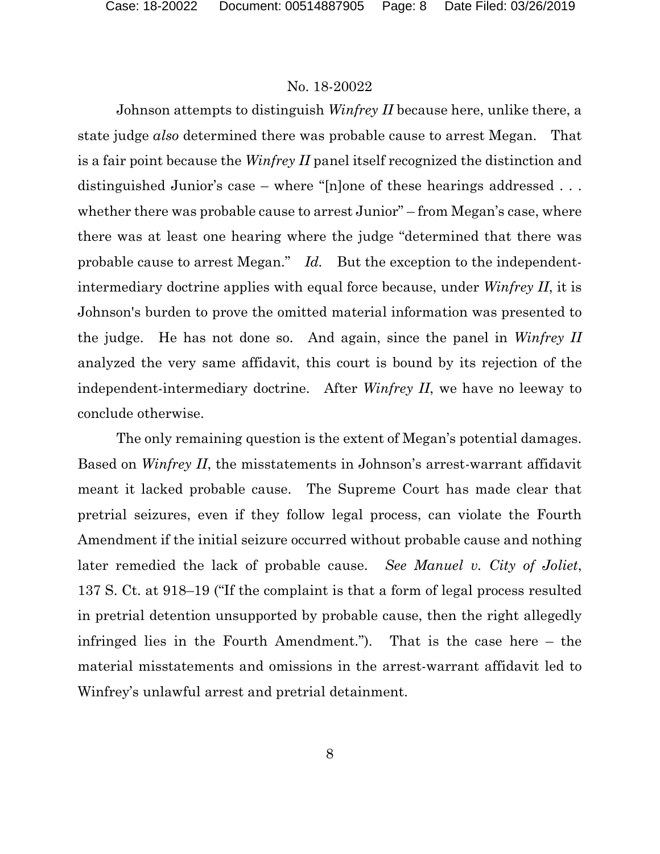Johnson attempts to distinguish *Winfrey II* because here, unlike there, a state judge *also* determined there was probable cause to arrest Megan. That is a fair point because the *Winfrey II* panel itself recognized the distinction and distinguished Junior's case – where "[n]one of these hearings addressed . . . whether there was probable cause to arrest Junior" – from Megan's case, where there was at least one hearing where the judge "determined that there was probable cause to arrest Megan." *Id.* But the exception to the independentintermediary doctrine applies with equal force because, under *Winfrey II*, it is Johnson's burden to prove the omitted material information was presented to the judge. He has not done so. And again, since the panel in *Winfrey II* analyzed the very same affidavit, this court is bound by its rejection of the independent-intermediary doctrine. After *Winfrey II*, we have no leeway to conclude otherwise.

The only remaining question is the extent of Megan's potential damages. Based on *Winfrey II*, the misstatements in Johnson's arrest-warrant affidavit meant it lacked probable cause. The Supreme Court has made clear that pretrial seizures, even if they follow legal process, can violate the Fourth Amendment if the initial seizure occurred without probable cause and nothing later remedied the lack of probable cause. *See Manuel v. City of Joliet*, 137 S. Ct. at 918–19 ("If the complaint is that a form of legal process resulted in pretrial detention unsupported by probable cause, then the right allegedly infringed lies in the Fourth Amendment."). That is the case here – the material misstatements and omissions in the arrest-warrant affidavit led to Winfrey's unlawful arrest and pretrial detainment.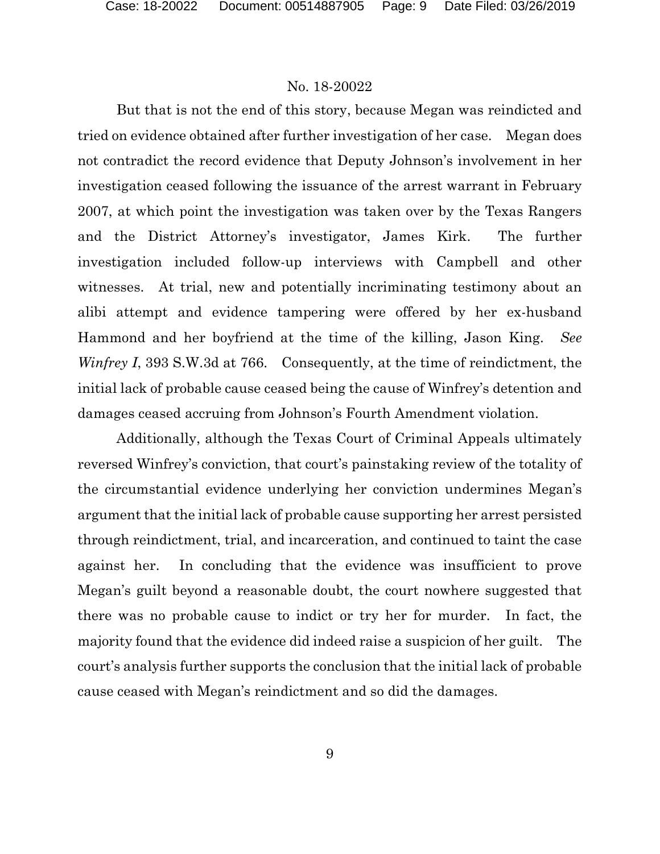But that is not the end of this story, because Megan was reindicted and tried on evidence obtained after further investigation of her case. Megan does not contradict the record evidence that Deputy Johnson's involvement in her investigation ceased following the issuance of the arrest warrant in February 2007, at which point the investigation was taken over by the Texas Rangers and the District Attorney's investigator, James Kirk. The further investigation included follow-up interviews with Campbell and other witnesses. At trial, new and potentially incriminating testimony about an alibi attempt and evidence tampering were offered by her ex-husband Hammond and her boyfriend at the time of the killing, Jason King. *See Winfrey I*, 393 S.W.3d at 766. Consequently, at the time of reindictment, the initial lack of probable cause ceased being the cause of Winfrey's detention and damages ceased accruing from Johnson's Fourth Amendment violation.

Additionally, although the Texas Court of Criminal Appeals ultimately reversed Winfrey's conviction, that court's painstaking review of the totality of the circumstantial evidence underlying her conviction undermines Megan's argument that the initial lack of probable cause supporting her arrest persisted through reindictment, trial, and incarceration, and continued to taint the case against her. In concluding that the evidence was insufficient to prove Megan's guilt beyond a reasonable doubt, the court nowhere suggested that there was no probable cause to indict or try her for murder. In fact, the majority found that the evidence did indeed raise a suspicion of her guilt. The court's analysis further supports the conclusion that the initial lack of probable cause ceased with Megan's reindictment and so did the damages.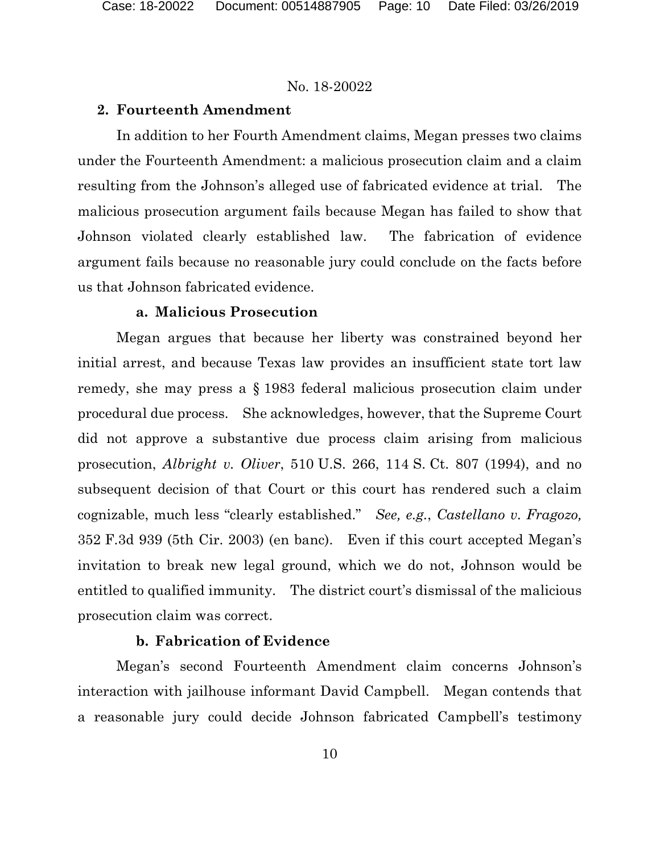## **2. Fourteenth Amendment**

In addition to her Fourth Amendment claims, Megan presses two claims under the Fourteenth Amendment: a malicious prosecution claim and a claim resulting from the Johnson's alleged use of fabricated evidence at trial. The malicious prosecution argument fails because Megan has failed to show that Johnson violated clearly established law. The fabrication of evidence argument fails because no reasonable jury could conclude on the facts before us that Johnson fabricated evidence.

## **a. Malicious Prosecution**

Megan argues that because her liberty was constrained beyond her initial arrest, and because Texas law provides an insufficient state tort law remedy, she may press a § 1983 federal malicious prosecution claim under procedural due process. She acknowledges, however, that the Supreme Court did not approve a substantive due process claim arising from malicious prosecution, *Albright v. Oliver*, 510 U.S. 266, 114 S. Ct. 807 (1994), and no subsequent decision of that Court or this court has rendered such a claim cognizable, much less "clearly established." *See, e.g.*, *Castellano v. Fragozo,*  352 F.3d 939 (5th Cir. 2003) (en banc). Even if this court accepted Megan's invitation to break new legal ground, which we do not, Johnson would be entitled to qualified immunity. The district court's dismissal of the malicious prosecution claim was correct.

## **b. Fabrication of Evidence**

Megan's second Fourteenth Amendment claim concerns Johnson's interaction with jailhouse informant David Campbell. Megan contends that a reasonable jury could decide Johnson fabricated Campbell's testimony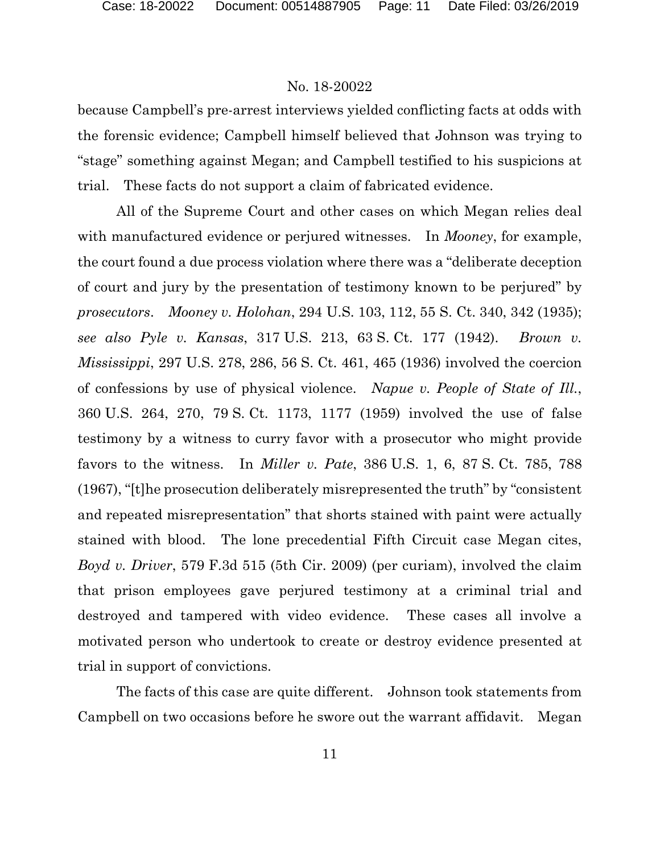because Campbell's pre-arrest interviews yielded conflicting facts at odds with the forensic evidence; Campbell himself believed that Johnson was trying to "stage" something against Megan; and Campbell testified to his suspicions at trial. These facts do not support a claim of fabricated evidence.

All of the Supreme Court and other cases on which Megan relies deal with manufactured evidence or perjured witnesses. In *Mooney*, for example, the court found a due process violation where there was a "deliberate deception of court and jury by the presentation of testimony known to be perjured" by *prosecutors*. *Mooney v. Holohan*, 294 U.S. 103, 112, 55 S. Ct. 340, 342 (1935); *see also Pyle v. Kansas*, 317 U.S. 213, 63 S. Ct. 177 (1942). *Brown v. Mississippi*, 297 U.S. 278, 286, 56 S. Ct. 461, 465 (1936) involved the coercion of confessions by use of physical violence. *Napue v. People of State of Ill.*, 360 U.S. 264, 270, 79 S. Ct. 1173, 1177 (1959) involved the use of false testimony by a witness to curry favor with a prosecutor who might provide favors to the witness. In *Miller v. Pate*, 386 U.S. 1, 6, 87 S. Ct. 785, 788 (1967), "[t]he prosecution deliberately misrepresented the truth" by "consistent and repeated misrepresentation" that shorts stained with paint were actually stained with blood. The lone precedential Fifth Circuit case Megan cites, *Boyd v. Driver*, 579 F.3d 515 (5th Cir. 2009) (per curiam), involved the claim that prison employees gave perjured testimony at a criminal trial and destroyed and tampered with video evidence. These cases all involve a motivated person who undertook to create or destroy evidence presented at trial in support of convictions.

The facts of this case are quite different. Johnson took statements from Campbell on two occasions before he swore out the warrant affidavit. Megan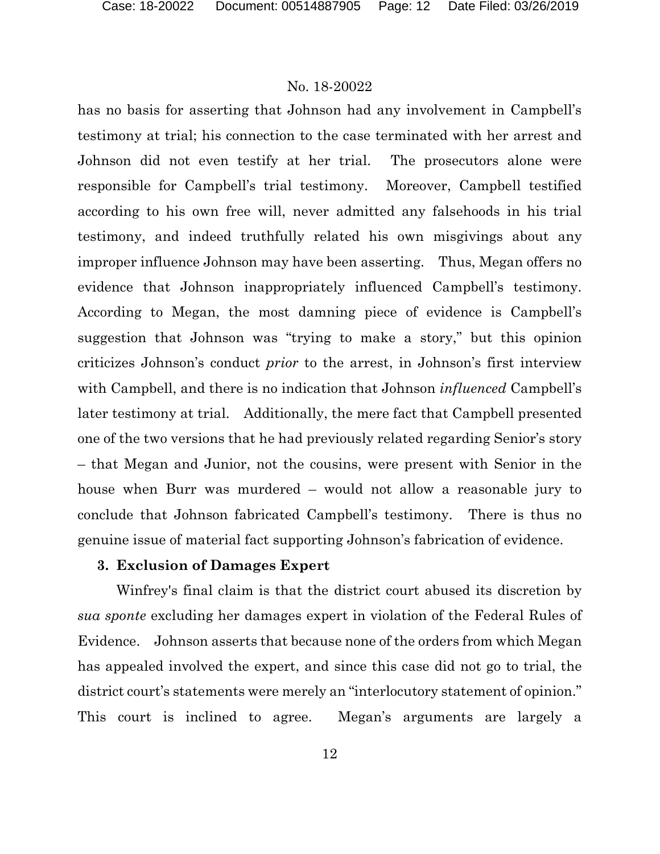has no basis for asserting that Johnson had any involvement in Campbell's testimony at trial; his connection to the case terminated with her arrest and Johnson did not even testify at her trial. The prosecutors alone were responsible for Campbell's trial testimony. Moreover, Campbell testified according to his own free will, never admitted any falsehoods in his trial testimony, and indeed truthfully related his own misgivings about any improper influence Johnson may have been asserting. Thus, Megan offers no evidence that Johnson inappropriately influenced Campbell's testimony. According to Megan, the most damning piece of evidence is Campbell's suggestion that Johnson was "trying to make a story," but this opinion criticizes Johnson's conduct *prior* to the arrest, in Johnson's first interview with Campbell, and there is no indication that Johnson *influenced* Campbell's later testimony at trial. Additionally, the mere fact that Campbell presented one of the two versions that he had previously related regarding Senior's story – that Megan and Junior, not the cousins, were present with Senior in the house when Burr was murdered – would not allow a reasonable jury to conclude that Johnson fabricated Campbell's testimony. There is thus no genuine issue of material fact supporting Johnson's fabrication of evidence.

# **3. Exclusion of Damages Expert**

Winfrey's final claim is that the district court abused its discretion by *sua sponte* excluding her damages expert in violation of the Federal Rules of Evidence. Johnson asserts that because none of the orders from which Megan has appealed involved the expert, and since this case did not go to trial, the district court's statements were merely an "interlocutory statement of opinion." This court is inclined to agree. Megan's arguments are largely a